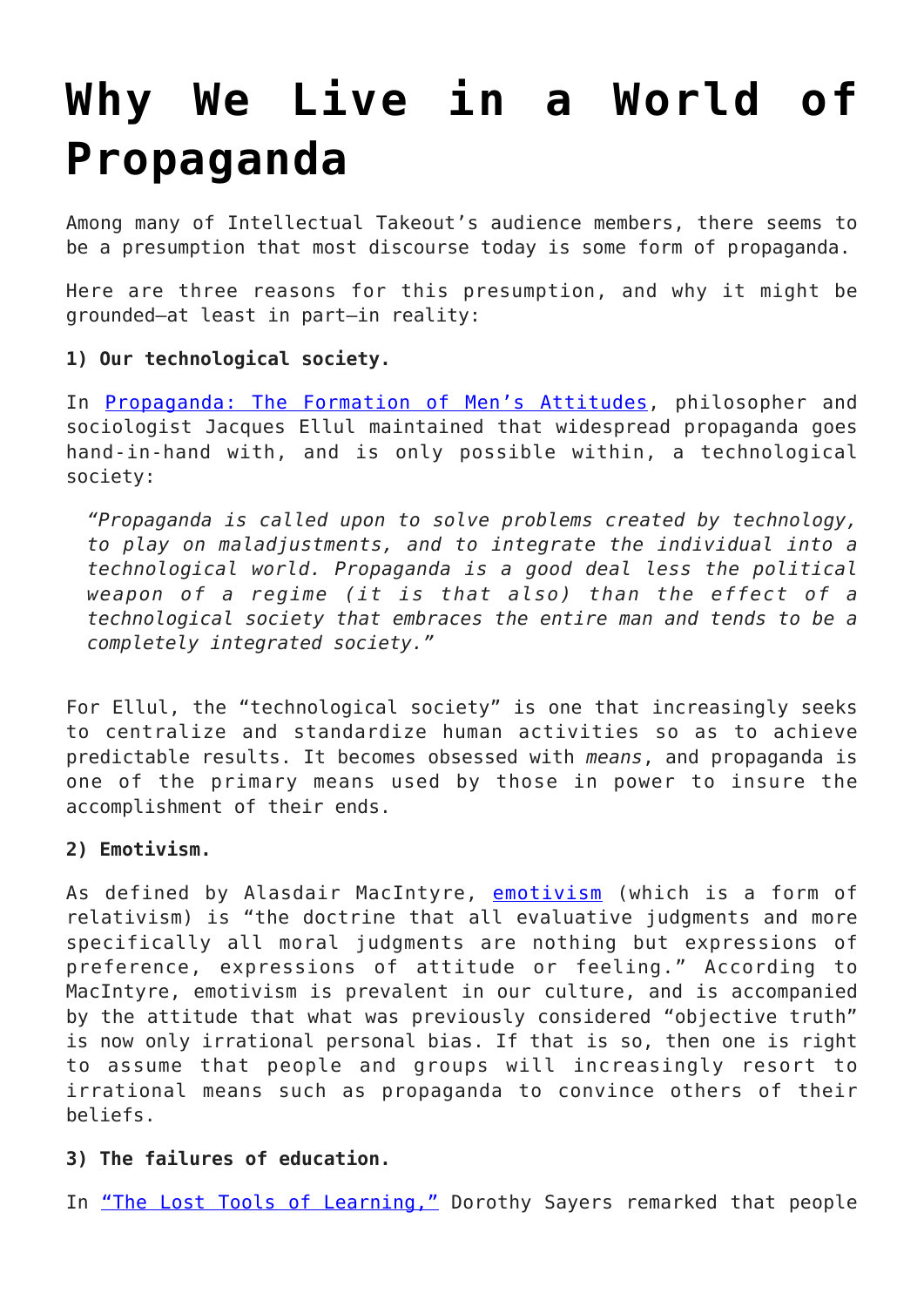## **[Why We Live in a World of](https://intellectualtakeout.org/2015/12/why-we-live-in-a-world-of-propaganda/) [Propaganda](https://intellectualtakeout.org/2015/12/why-we-live-in-a-world-of-propaganda/)**

Among many of Intellectual Takeout's audience members, there seems to be a presumption that most discourse today is some form of propaganda.

Here are three reasons for this presumption, and why it might be grounded—at least in part—in reality:

## **1) Our technological society.**

In [Propaganda: The Formation of Men's Attitudes,](https://www.intellectualtakeout.org/blog/8-frightening-characteristics-propaganda) philosopher and sociologist Jacques Ellul maintained that widespread propaganda goes hand-in-hand with, and is only possible within, a technological society:

*"Propaganda is called upon to solve problems created by technology, to play on maladjustments, and to integrate the individual into a technological world. Propaganda is a good deal less the political weapon of a regime (it is that also) than the effect of a technological society that embraces the entire man and tends to be a completely integrated society."*

For Ellul, the "technological society" is one that increasingly seeks to centralize and standardize human activities so as to achieve predictable results. It becomes obsessed with *means*, and propaganda is one of the primary means used by those in power to insure the accomplishment of their ends.

## **2) Emotivism.**

As defined by Alasdair MacIntyre, [emotivism](http://www.apple.com) (which is a form of relativism) is "the doctrine that all evaluative judgments and more specifically all moral judgments are nothing but expressions of preference, expressions of attitude or feeling." According to MacIntyre, emotivism is prevalent in our culture, and is accompanied by the attitude that what was previously considered "objective truth" is now only irrational personal bias. If that is so, then one is right to assume that people and groups will increasingly resort to irrational means such as propaganda to convince others of their beliefs.

## **3) The failures of education.**

In ["The Lost Tools of Learning,"](https://www.intellectualtakeout.org/blog/5-logic-fails-are-way-too-common) Dorothy Sayers remarked that people